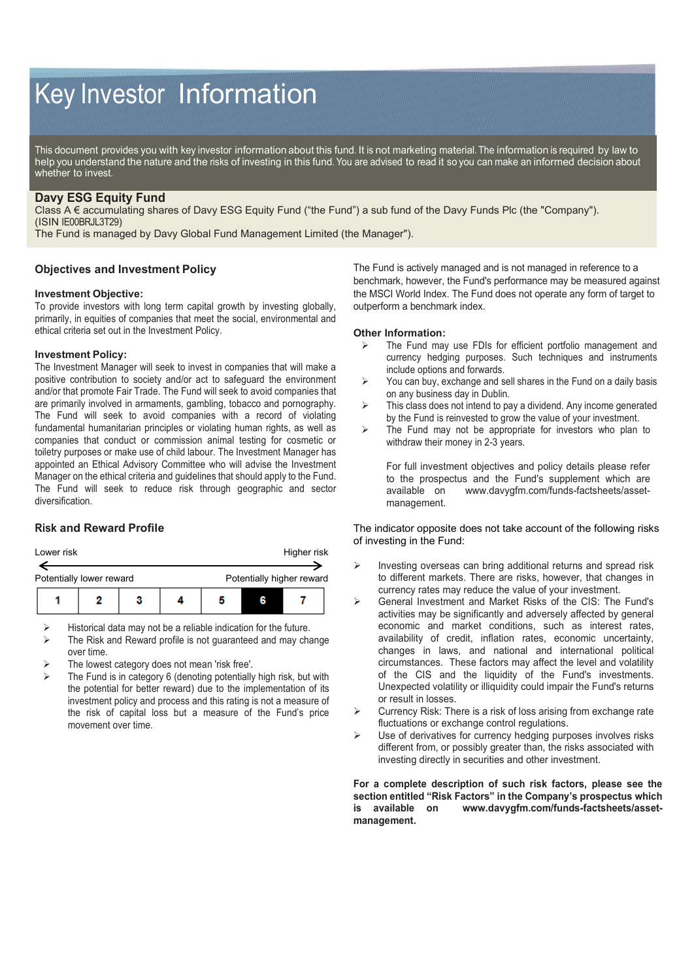# Key Investor Information

This document provides you with key investor information about this fund. It is not marketing material. The information is required by law to help you understand the nature and the risks of investing in this fund. You are advised to read it so you can make an informed decision about whether to invest.

# **Davy ESG Equity Fund**

Class A € accumulating shares of Davy ESG Equity Fund ("the Fund") a sub fund of the Davy Funds Plc (the "Company"). (ISIN IE00BRJL3T29)

The Fund is managed by Davy Global Fund Management Limited (the Manager").

## **Objectives and Investment Policy**

### **Investment Objective:**

To provide investors with long term capital growth by investing globally, primarily, in equities of companies that meet the social, environmental and ethical criteria set out in the Investment Policy.

### **Investment Policy:**

The Investment Manager will seek to invest in companies that will make a positive contribution to society and/or act to safeguard the environment and/or that promote Fair Trade. The Fund will seek to avoid companies that are primarily involved in armaments, gambling, tobacco and pornography. The Fund will seek to avoid companies with a record of violating fundamental humanitarian principles or violating human rights, as well as companies that conduct or commission animal testing for cosmetic or toiletry purposes or make use of child labour. The Investment Manager has appointed an Ethical Advisory Committee who will advise the Investment Manager on the ethical criteria and guidelines that should apply to the Fund. The Fund will seek to reduce risk through geographic and sector diversification.

## **Risk and Reward Profile**



 $\triangleright$  Historical data may not be a reliable indication for the future.

- $\triangleright$  The Risk and Reward profile is not guaranteed and may change over time.
- The lowest category does not mean 'risk free'.
- The Fund is in category 6 (denoting potentially high risk, but with the potential for better reward) due to the implementation of its investment policy and process and this rating is not a measure of the risk of capital loss but a measure of the Fund's price movement over time.

The Fund is actively managed and is not managed in reference to a benchmark, however, the Fund's performance may be measured against the MSCI World Index. The Fund does not operate any form of target to outperform a benchmark index.

#### **Other Information:**

- $\triangleright$  The Fund may use FDIs for efficient portfolio management and currency hedging purposes. Such techniques and instruments include options and forwards.
- $\triangleright$  You can buy, exchange and sell shares in the Fund on a daily basis on any business day in Dublin.
- $\triangleright$  This class does not intend to pay a dividend. Any income generated by the Fund is reinvested to grow the value of your investment.
- $\triangleright$  The Fund may not be appropriate for investors who plan to withdraw their money in 2-3 years.

For full investment objectives and policy details please refer to the prospectus and the Fund's supplement which are available on www.davygfm.com/funds-factsheets/assetmanagement.

The indicator opposite does not take account of the following risks of investing in the Fund:

- Investing overseas can bring additional returns and spread risk to different markets. There are risks, however, that changes in currency rates may reduce the value of your investment.
- General Investment and Market Risks of the CIS: The Fund's activities may be significantly and adversely affected by general economic and market conditions, such as interest rates, availability of credit, inflation rates, economic uncertainty, changes in laws, and national and international political circumstances. These factors may affect the level and volatility of the CIS and the liquidity of the Fund's investments. Unexpected volatility or illiquidity could impair the Fund's returns or result in losses.
- Currency Risk: There is a risk of loss arising from exchange rate fluctuations or exchange control regulations.
- Use of derivatives for currency hedging purposes involves risks different from, or possibly greater than, the risks associated with investing directly in securities and other investment.

#### **For a complete description of such risk factors, please see the section entitled "Risk Factors" in the Company's prospectus which is available on www.davygfm.com/funds-factsheets/assetmanagement.**